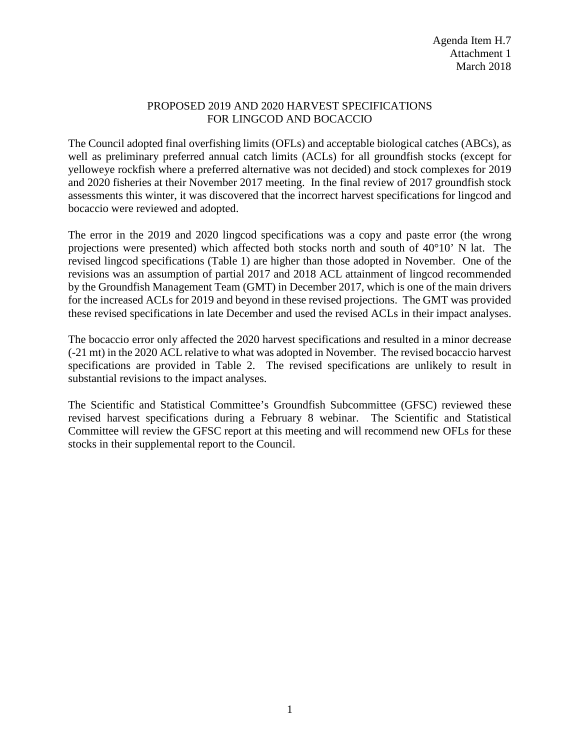## PROPOSED 2019 AND 2020 HARVEST SPECIFICATIONS FOR LINGCOD AND BOCACCIO

The Council adopted final overfishing limits (OFLs) and acceptable biological catches (ABCs), as well as preliminary preferred annual catch limits (ACLs) for all groundfish stocks (except for yelloweye rockfish where a preferred alternative was not decided) and stock complexes for 2019 and 2020 fisheries at their November 2017 meeting. In the final review of 2017 groundfish stock assessments this winter, it was discovered that the incorrect harvest specifications for lingcod and bocaccio were reviewed and adopted.

The error in the 2019 and 2020 lingcod specifications was a copy and paste error (the wrong projections were presented) which affected both stocks north and south of 40°10' N lat. The revised lingcod specifications [\(Table 1\)](#page-1-0) are higher than those adopted in November. One of the revisions was an assumption of partial 2017 and 2018 ACL attainment of lingcod recommended by the Groundfish Management Team (GMT) in December 2017, which is one of the main drivers for the increased ACLs for 2019 and beyond in these revised projections. The GMT was provided these revised specifications in late December and used the revised ACLs in their impact analyses.

The bocaccio error only affected the 2020 harvest specifications and resulted in a minor decrease (-21 mt) in the 2020 ACL relative to what was adopted in November. The revised bocaccio harvest specifications are provided in [Table 2.](#page-1-1) The revised specifications are unlikely to result in substantial revisions to the impact analyses.

The Scientific and Statistical Committee's Groundfish Subcommittee (GFSC) reviewed these revised harvest specifications during a February 8 webinar. The Scientific and Statistical Committee will review the GFSC report at this meeting and will recommend new OFLs for these stocks in their supplemental report to the Council.